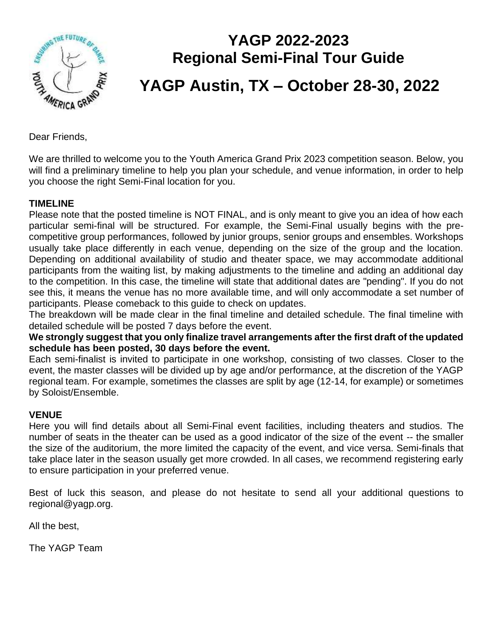

# **YAGP 2022-2023 Regional Semi-Final Tour Guide**

## **YAGP Austin, TX – October 28-30, 2022**

Dear Friends,

We are thrilled to welcome you to the Youth America Grand Prix 2023 competition season. Below, you will find a preliminary timeline to help you plan your schedule, and venue information, in order to help you choose the right Semi-Final location for you.

### **TIMELINE**

Please note that the posted timeline is NOT FINAL, and is only meant to give you an idea of how each particular semi-final will be structured. For example, the Semi-Final usually begins with the precompetitive group performances, followed by junior groups, senior groups and ensembles. Workshops usually take place differently in each venue, depending on the size of the group and the location. Depending on additional availability of studio and theater space, we may accommodate additional participants from the waiting list, by making adjustments to the timeline and adding an additional day to the competition. In this case, the timeline will state that additional dates are "pending". If you do not see this, it means the venue has no more available time, and will only accommodate a set number of participants. Please comeback to this guide to check on updates.

The breakdown will be made clear in the final timeline and detailed schedule. The final timeline with detailed schedule will be posted 7 days before the event.

**We strongly suggest that you only finalize travel arrangements after the first draft of the updated schedule has been posted, 30 days before the event.** 

Each semi-finalist is invited to participate in one workshop, consisting of two classes. Closer to the event, the master classes will be divided up by age and/or performance, at the discretion of the YAGP regional team. For example, sometimes the classes are split by age (12-14, for example) or sometimes by Soloist/Ensemble.

#### **VENUE**

Here you will find details about all Semi-Final event facilities, including theaters and studios. The number of seats in the theater can be used as a good indicator of the size of the event -- the smaller the size of the auditorium, the more limited the capacity of the event, and vice versa. Semi-finals that take place later in the season usually get more crowded. In all cases, we recommend registering early to ensure participation in your preferred venue.

Best of luck this season, and please do not hesitate to send all your additional questions to regional@yagp.org.

All the best,

The YAGP Team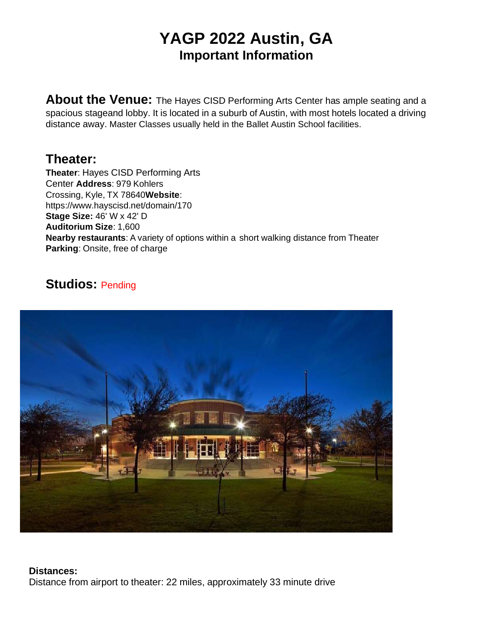## **YAGP 2022 Austin, GA Important Information**

**About the Venue:** The Hayes CISD Performing Arts Center has ample seating and a spacious stageand lobby. It is located in a suburb of Austin, with most hotels located a driving distance away. Master Classes usually held in the Ballet Austin School facilities.

### **Theater:**

**Theater**: Hayes CISD Performing Arts Center **Address**: 979 Kohlers Crossing, Kyle, TX 78640**Website**: https:/[/www.hayscisd.net/domain/170](http://www.hayscisd.net/domain/170) **Stage Size:** 46' W x 42' D **Auditorium Size**: 1,600 **Nearby restaurants**: A variety of options within a short walking distance from Theater **Parking**: Onsite, free of charge

## **Studios:** Pending